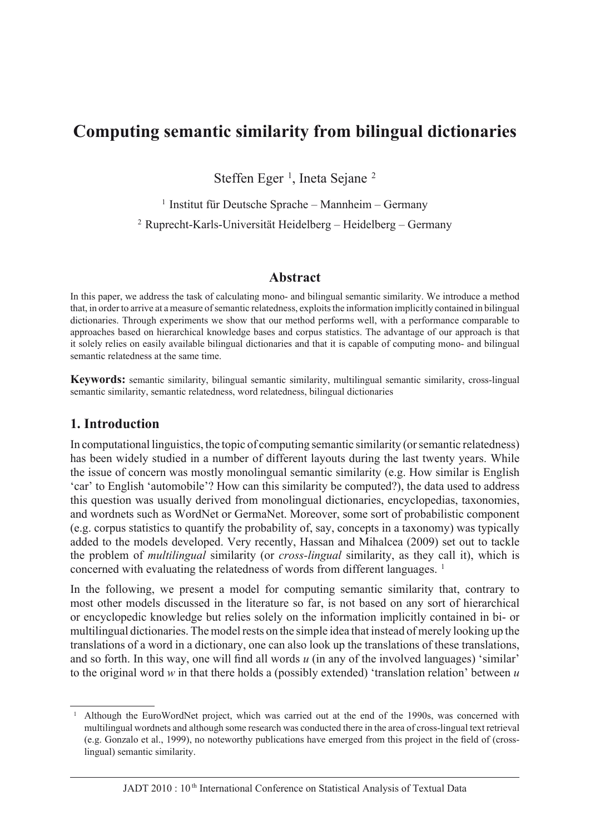# **[Computing semantic similarity from bilingual dictionaries](www.ledonline.it/ledonline/jadt-2010.html)**

Steffen Eger<sup>1</sup>, Ineta Sejane<sup>2</sup>

<sup>1</sup> Institut für Deutsche Sprache – Mannheim – Germany <sup>2</sup> Ruprecht-Karls-Universität Heidelberg – Heidelberg – Germany

#### **Abstract**

In this paper, we address the task of calculating mono- and bilingual semantic similarity. We introduce a method that, in order to arrive at a measure of semantic relatedness, exploits the information implicitly contained in bilingual dictionaries. Through experiments we show that our method performs well, with a performance comparable to approaches based on hierarchical knowledge bases and corpus statistics. The advantage of our approach is that it solely relies on easily available bilingual dictionaries and that it is capable of computing mono- and bilingual semantic relatedness at the same time.

**Keywords:** semantic similarity, bilingual semantic similarity, multilingual semantic similarity, cross-lingual semantic similarity, semantic relatedness, word relatedness, bilingual dictionaries

### **1. Introduction**

In computational linguistics, the topic of computing semantic similarity (or semantic relatedness) has been widely studied in a number of different layouts during the last twenty years. While the issue of concern was mostly monolingual semantic similarity (e.g. How similar is English 'car' to English 'automobile'? How can this similarity be computed?), the data used to address this question was usually derived from monolingual dictionaries, encyclopedias, taxonomies, and wordnets such as WordNet or GermaNet. Moreover, some sort of probabilistic component (e.g. corpus statistics to quantify the probability of, say, concepts in a taxonomy) was typically added to the models developed. Very recently, Hassan and Mihalcea (2009) set out to tackle the problem of *multilingual* similarity (or *cross-lingual* similarity, as they call it), which is concerned with evaluating the relatedness of words from different languages. <sup>1</sup>

In the following, we present a model for computing semantic similarity that, contrary to most other models discussed in the literature so far, is not based on any sort of hierarchical or encyclopedic knowledge but relies solely on the information implicitly contained in bi- or multilingual dictionaries. The model rests on the simple idea that instead of merely looking up the translations of a word in a dictionary, one can also look up the translations of these translations, and so forth. In this way, one will find all words *u* (in any of the involved languages) 'similar' to the original word *w* in that there holds a (possibly extended) 'translation relation' between *u* 

<sup>&</sup>lt;sup>1</sup> Although the EuroWordNet project, which was carried out at the end of the 1990s, was concerned with multilingual wordnets and although some research was conducted there in the area of cross-lingual text retrieval (e.g. Gonzalo et al., 1999), no noteworthy publications have emerged from this project in the field of (crosslingual) semantic similarity.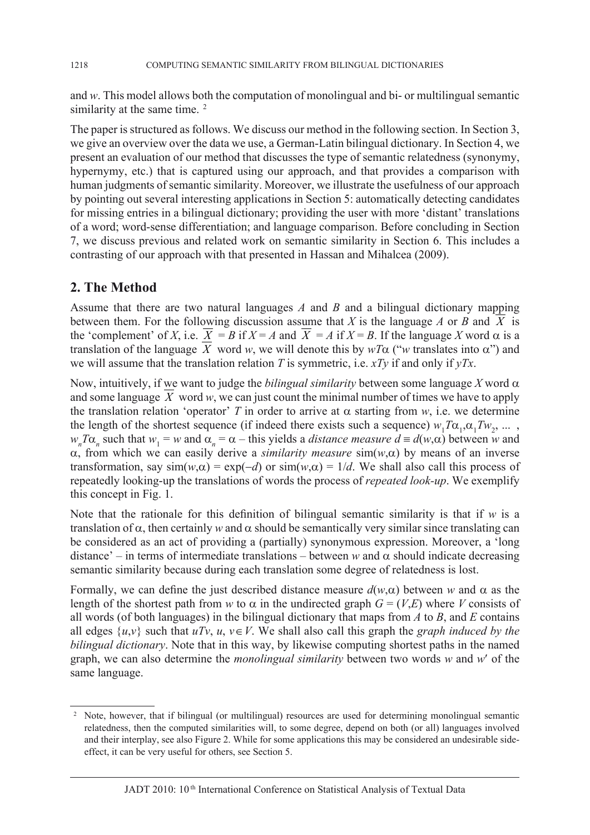and *w*. This model allows both the computation of monolingual and bi- or multilingual semantic similarity at the same time. <sup>2</sup>

The paper is structured as follows. We discuss our method in the following section. In Section 3, we give an overview over the data we use, a German-Latin bilingual dictionary. In Section 4, we present an evaluation of our method that discusses the type of semantic relatedness (synonymy, hypernymy, etc.) that is captured using our approach, and that provides a comparison with human judgments of semantic similarity. Moreover, we illustrate the usefulness of our approach by pointing out several interesting applications in Section 5: automatically detecting candidates for missing entries in a bilingual dictionary; providing the user with more 'distant' translations of a word; word-sense differentiation; and language comparison. Before concluding in Section 7, we discuss previous and related work on semantic similarity in Section 6. This includes a contrasting of our approach with that presented in Hassan and Mihalcea (2009).

### **2. The Method**

Assume that there are two natural languages *A* and *B* and a bilingual dictionary mapping between them. For the following discussion assume that *X* is the language *A* or *B* and *X* is the 'complement' of *X*, i.e.  $X = B$  if  $X = A$  and  $X = A$  if  $X = B$ . If the language *X* word  $\alpha$  is a translation of the language  $\overline{X}$  word *w*, we will denote this by  $wT\alpha$  ("*w* translates into  $\alpha$ ") and we will assume that the translation relation *T* is symmetric, i.e. *xTy* if and only if *yTx*.

Now, intuitively, if we want to judge the *bilingual similarity* between some language  $X$  word  $\alpha$ and some language  $\overline{X}$  word *w*, we can just count the minimal number of times we have to apply the translation relation 'operator' *T* in order to arrive at  $\alpha$  starting from *w*, i.e. we determine the length of the shortest sequence (if indeed there exists such a sequence)  $w_1 T \alpha_1 \alpha_1 T w_2$ , ...,  $w_n T\alpha_n$  such that  $w_1 = w$  and  $\alpha_n = \alpha$  – this yields a *distance measure d* = *d*(*w*, $\alpha$ ) between *w* and  $\alpha$ , from which we can easily derive a *similarity measure*  $\sin(w,\alpha)$  by means of an inverse transformation, say  $\sin(w, \alpha) = \exp(-d)$  or  $\sin(w, \alpha) = 1/d$ . We shall also call this process of repeatedly looking-up the translations of words the process of *repeated look-up*. We exemplify this concept in Fig. 1.

Note that the rationale for this definition of bilingual semantic similarity is that if  $w$  is a translation of  $\alpha$ , then certainly w and  $\alpha$  should be semantically very similar since translating can be considered as an act of providing a (partially) synonymous expression. Moreover, a 'long distance' – in terms of intermediate translations – between *w* and  $\alpha$  should indicate decreasing semantic similarity because during each translation some degree of relatedness is lost.

Formally, we can define the just described distance measure  $d(w, \alpha)$  between w and  $\alpha$  as the length of the shortest path from *w* to  $\alpha$  in the undirected graph  $G = (V,E)$  where *V* consists of all words (of both languages) in the bilingual dictionary that maps from *A* to *B*, and *E* contains all edges  $\{u, v\}$  such that  $uTv$ ,  $u, v \in V$ . We shall also call this graph the *graph induced by the bilingual dictionary*. Note that in this way, by likewise computing shortest paths in the named graph, we can also determine the *monolingual similarity* between two words *w* and *w*′ of the same language.

<sup>&</sup>lt;sup>2</sup> Note, however, that if bilingual (or multilingual) resources are used for determining monolingual semantic relatedness, then the computed similarities will, to some degree, depend on both (or all) languages involved and their interplay, see also Figure 2. While for some applications this may be considered an undesirable sideeffect, it can be very useful for others, see Section 5.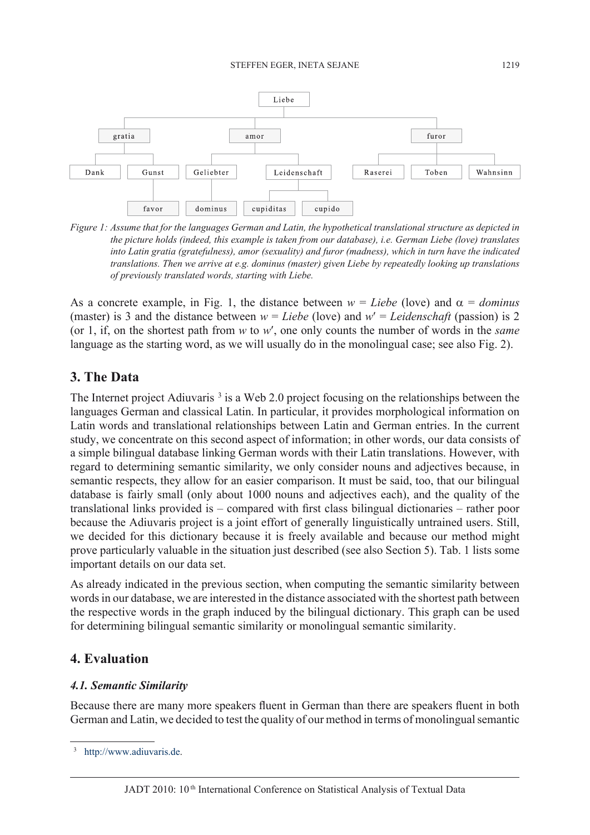

*Figure 1: Assume that for the languages German and Latin, the hypothetical translational structure as depicted in the picture holds (indeed, this example is taken from our database), i.e. German Liebe (love) translates into Latin gratia (gratefulness), amor (sexuality) and furor (madness), which in turn have the indicated translations. Then we arrive at e.g. dominus (master) given Liebe by repeatedly looking up translations of previously translated words, starting with Liebe.*

As a concrete example, in Fig. 1, the distance between  $w = Liebe$  (love) and  $\alpha =$  *dominus* (master) is 3 and the distance between  $w = Liebe$  (love) and  $w' = Leidenschaff$  (passion) is 2 (or 1, if, on the shortest path from *w* to *w*′, one only counts the number of words in the *same*  language as the starting word, as we will usually do in the monolingual case; see also Fig. 2).

### **3. The Data**

The Internet project Adiuvaris<sup>3</sup> is a Web 2.0 project focusing on the relationships between the languages German and classical Latin. In particular, it provides morphological information on Latin words and translational relationships between Latin and German entries. In the current study, we concentrate on this second aspect of information; in other words, our data consists of a simple bilingual database linking German words with their Latin translations. However, with regard to determining semantic similarity, we only consider nouns and adjectives because, in semantic respects, they allow for an easier comparison. It must be said, too, that our bilingual database is fairly small (only about 1000 nouns and adjectives each), and the quality of the translational links provided is – compared with first class bilingual dictionaries – rather poor because the Adiuvaris project is a joint effort of generally linguistically untrained users. Still, we decided for this dictionary because it is freely available and because our method might prove particularly valuable in the situation just described (see also Section 5). Tab. 1 lists some important details on our data set.

As already indicated in the previous section, when computing the semantic similarity between words in our database, we are interested in the distance associated with the shortest path between the respective words in the graph induced by the bilingual dictionary. This graph can be used for determining bilingual semantic similarity or monolingual semantic similarity.

## **4. Evaluation**

#### *4.1. Semantic Similarity*

Because there are many more speakers fluent in German than there are speakers fluent in both German and Latin, we decided to test the quality of our method in terms of monolingual semantic

[http://www.adiuvaris.de.](http://www.adiuvaris.de)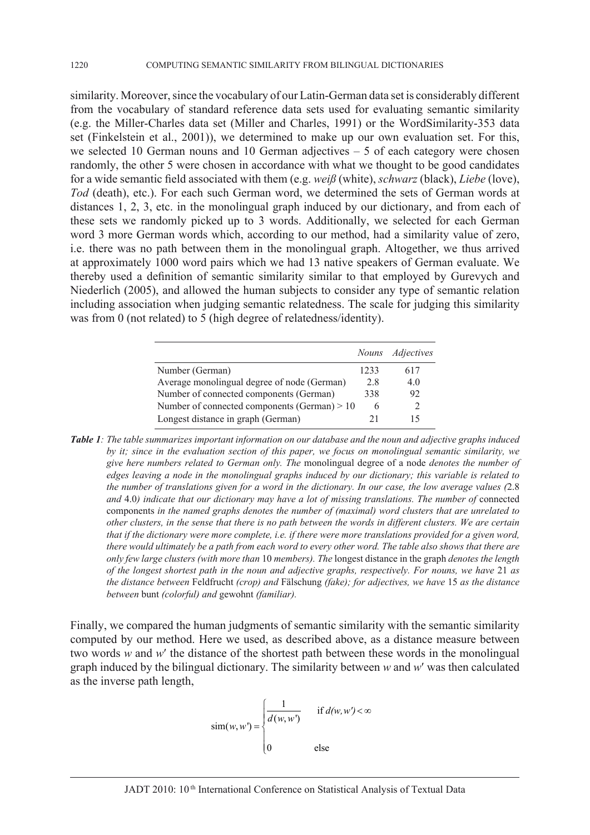similarity. Moreover, since the vocabulary of our Latin-German data set is considerably different from the vocabulary of standard reference data sets used for evaluating semantic similarity (e.g. the Miller-Charles data set (Miller and Charles, 1991) or the WordSimilarity-353 data set (Finkelstein et al., 2001)), we determined to make up our own evaluation set. For this, we selected 10 German nouns and 10 German adjectives – 5 of each category were chosen randomly, the other 5 were chosen in accordance with what we thought to be good candidates for a wide semantic field associated with them (e.g. *weiß* (white), *schwarz* (black), *Liebe* (love), *Tod* (death), etc.). For each such German word, we determined the sets of German words at distances 1, 2, 3, etc. in the monolingual graph induced by our dictionary, and from each of these sets we randomly picked up to 3 words. Additionally, we selected for each German word 3 more German words which, according to our method, had a similarity value of zero, i.e. there was no path between them in the monolingual graph. Altogether, we thus arrived at approximately 1000 word pairs which we had 13 native speakers of German evaluate. We thereby used a definition of semantic similarity similar to that employed by Gurevych and Niederlich (2005), and allowed the human subjects to consider any type of semantic relation including association when judging semantic relatedness. The scale for judging this similarity was from 0 (not related) to 5 (high degree of relatedness/identity).

|                                                |      | Nouns Adjectives |
|------------------------------------------------|------|------------------|
| Number (German)                                | 1233 | 617              |
| Average monolingual degree of node (German)    | 2.8  | 40               |
| Number of connected components (German)        | 338  | 92               |
| Number of connected components (German) $> 10$ | h    |                  |
| Longest distance in graph (German)             |      |                  |

*Table 1: The table summarizes important information on our database and the noun and adjective graphs induced by it; since in the evaluation section of this paper, we focus on monolingual semantic similarity, we give here numbers related to German only. The* monolingual degree of a node *denotes the number of edges leaving a node in the monolingual graphs induced by our dictionary; this variable is related to the number of translations given for a word in the dictionary. In our case, the low average values (*2.8 *and* 4.0*) indicate that our dictionary may have a lot of missing translations. The number of* connected components *in the named graphs denotes the number of (maximal) word clusters that are unrelated to other clusters, in the sense that there is no path between the words in different clusters. We are certain that if the dictionary were more complete, i.e. if there were more translations provided for a given word, there would ultimately be a path from each word to every other word. The table also shows that there are only few large clusters (with more than* 10 *members). The* longest distance in the graph *denotes the length of the longest shortest path in the noun and adjective graphs, respectively. For nouns, we have* 21 *as the distance between* Feldfrucht *(crop) and* Fälschung *(fake); for adjectives, we have* 15 *as the distance between* bunt *(colorful) and* gewohnt *(familiar).*

Finally, we compared the human judgments of semantic similarity with the semantic similarity computed by our method. Here we used, as described above, as a distance measure between two words *w* and *w*′ the distance of the shortest path between these words in the monolingual graph induced by the bilingual dictionary. The similarity between *w* and *w*′ was then calculated as the inverse path length,

$$
\operatorname{sim}(w, w') = \begin{cases} \frac{1}{d(w, w')} & \text{if } d(w, w') < \infty \\ 0 & \text{else} \end{cases}
$$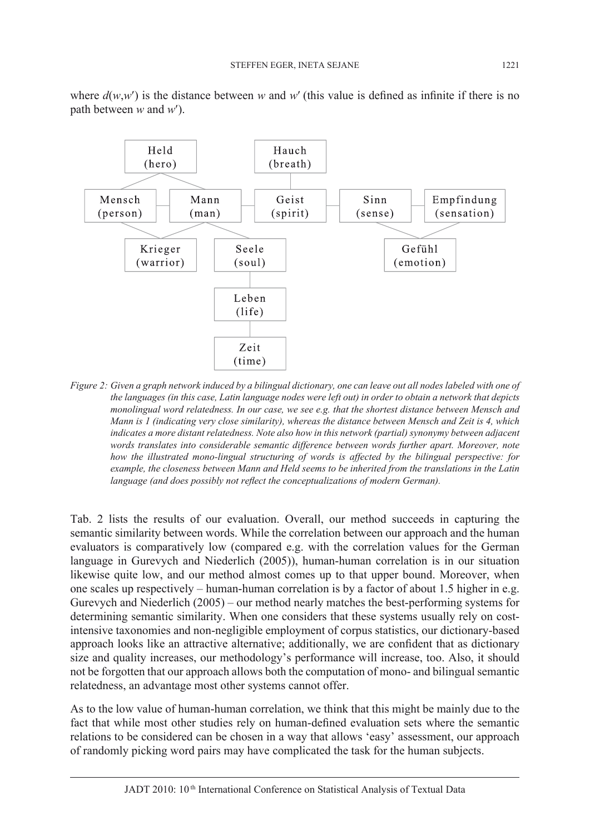where  $d(w, w')$  is the distance between *w* and *w'* (this value is defined as infinite if there is no path between *w* and *w*′).



*Figure 2: Given a graph network induced by a bilingual dictionary, one can leave out all nodes labeled with one of the languages (in this case, Latin language nodes were left out) in order to obtain a network that depicts monolingual word relatedness. In our case, we see e.g. that the shortest distance between Mensch and Mann is 1 (indicating very close similarity), whereas the distance between Mensch and Zeit is 4, which indicates a more distant relatedness. Note also how in this network (partial) synonymy between adjacent words translates into considerable semantic difference between words further apart. Moreover, note how the illustrated mono-lingual structuring of words is affected by the bilingual perspective: for example, the closeness between Mann and Held seems to be inherited from the translations in the Latin language (and does possibly not reflect the conceptualizations of modern German).*

Tab. 2 lists the results of our evaluation. Overall, our method succeeds in capturing the semantic similarity between words. While the correlation between our approach and the human evaluators is comparatively low (compared e.g. with the correlation values for the German language in Gurevych and Niederlich (2005)), human-human correlation is in our situation likewise quite low, and our method almost comes up to that upper bound. Moreover, when one scales up respectively – human-human correlation is by a factor of about 1.5 higher in e.g. Gurevych and Niederlich (2005) – our method nearly matches the best-performing systems for determining semantic similarity. When one considers that these systems usually rely on costintensive taxonomies and non-negligible employment of corpus statistics, our dictionary-based approach looks like an attractive alternative; additionally, we are confident that as dictionary size and quality increases, our methodology's performance will increase, too. Also, it should not be forgotten that our approach allows both the computation of mono- and bilingual semantic relatedness, an advantage most other systems cannot offer.

As to the low value of human-human correlation, we think that this might be mainly due to the fact that while most other studies rely on human-defined evaluation sets where the semantic relations to be considered can be chosen in a way that allows 'easy' assessment, our approach of randomly picking word pairs may have complicated the task for the human subjects.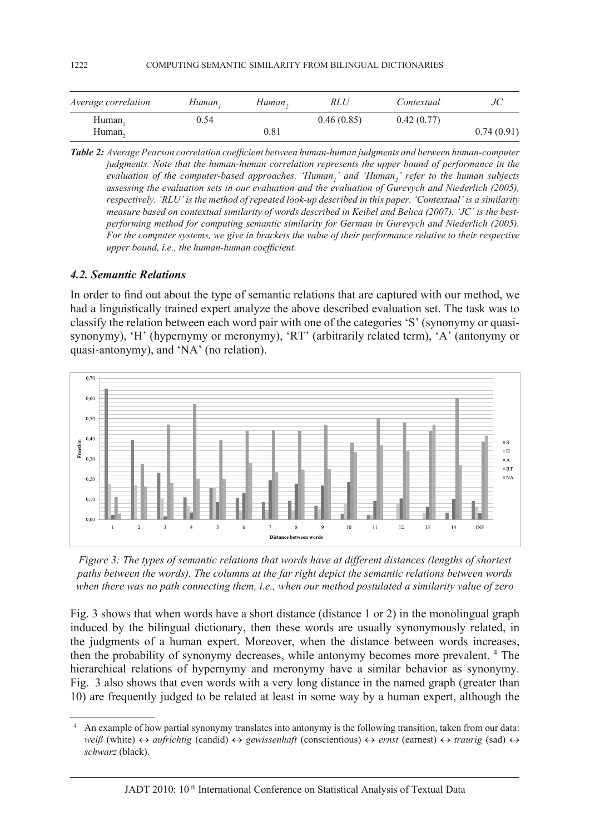| <i>Average correlation</i> | Human, | Human, | RLU        | Contextual |            |
|----------------------------|--------|--------|------------|------------|------------|
| Human,                     | 0.54   |        | 0.46(0.85) | 0.42(0.77) |            |
| Human <sub>2</sub>         |        | 0.81   |            |            | 0.74(0.91) |

*Table 2: Average Pearson correlation coefficient between human-human judgments and between human-computer judgments. Note that the human-human correlation represents the upper bound of performance in the evaluation of the computer-based approaches. 'Human<sub>1</sub>' and 'Human<sub>2</sub>' refer to the human subjects assessing the evaluation sets in our evaluation and the evaluation of Gurevych and Niederlich (2005), respectively. 'RLU' is the method of repeated look-up described in this paper. 'Contextual' is a similarity measure based on contextual similarity of words described in Keibel and Belica (2007). 'JC' is the bestperforming method for computing semantic similarity for German in Gurevych and Niederlich (2005). For the computer systems, we give in brackets the value of their performance relative to their respective upper bound, i.e., the human-human coefficient.*

#### *4.2. Semantic Relations*

In order to find out about the type of semantic relations that are captured with our method, we had a linguistically trained expert analyze the above described evaluation set. The task was to classify the relation between each word pair with one of the categories 'S' (synonymy or quasisynonymy), 'H' (hypernymy or meronymy), 'RT' (arbitrarily related term), 'A' (antonymy or quasi-antonymy), and 'NA' (no relation).



*Figure 3: The types of semantic relations that words have at different distances (lengths of shortest paths between the words). The columns at the far right depict the semantic relations between words when there was no path connecting them, i.e., when our method postulated a similarity value of zero* 

Fig. 3 shows that when words have a short distance (distance 1 or 2) in the monolingual graph induced by the bilingual dictionary, then these words are usually synonymously related, in the judgments of a human expert. Moreover, when the distance between words increases, then the probability of synonymy decreases, while antonymy becomes more prevalent. <sup>4</sup> The hierarchical relations of hypernymy and meronymy have a similar behavior as synonymy. Fig. 3 also shows that even words with a very long distance in the named graph (greater than 10) are frequently judged to be related at least in some way by a human expert, although the

<sup>4</sup> An example of how partial synonymy translates into antonymy is the following transition, taken from our data: *weiß* (white) ↔ *aufrichtig* (candid) ↔ *gewissenhaft* (conscientious) ↔ *ernst* (earnest) ↔ *traurig* (sad) ↔ *schwarz* (black).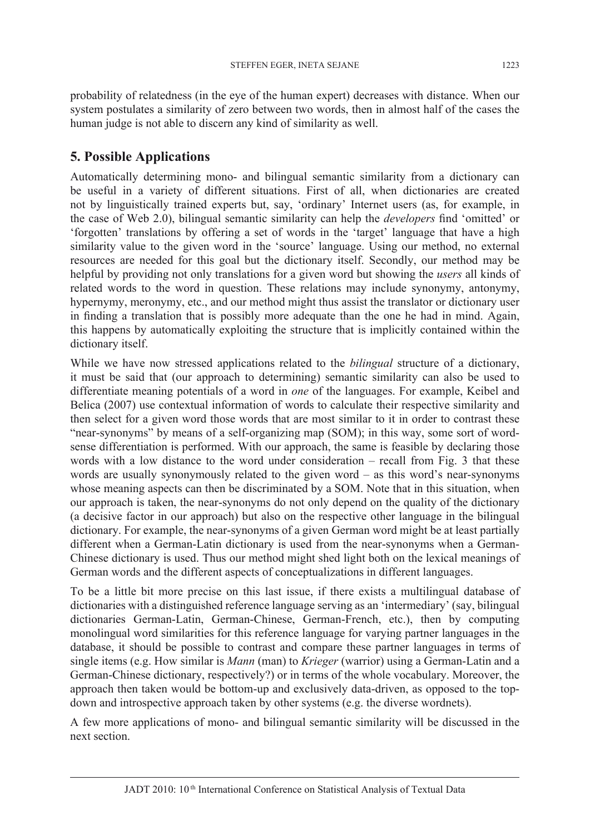probability of relatedness (in the eye of the human expert) decreases with distance. When our system postulates a similarity of zero between two words, then in almost half of the cases the human judge is not able to discern any kind of similarity as well.

## **5. Possible Applications**

Automatically determining mono- and bilingual semantic similarity from a dictionary can be useful in a variety of different situations. First of all, when dictionaries are created not by linguistically trained experts but, say, 'ordinary' Internet users (as, for example, in the case of Web 2.0), bilingual semantic similarity can help the *developers* find 'omitted' or 'forgotten' translations by offering a set of words in the 'target' language that have a high similarity value to the given word in the 'source' language. Using our method, no external resources are needed for this goal but the dictionary itself. Secondly, our method may be helpful by providing not only translations for a given word but showing the *users* all kinds of related words to the word in question. These relations may include synonymy, antonymy, hypernymy, meronymy, etc., and our method might thus assist the translator or dictionary user in finding a translation that is possibly more adequate than the one he had in mind. Again, this happens by automatically exploiting the structure that is implicitly contained within the dictionary itself.

While we have now stressed applications related to the *bilingual* structure of a dictionary, it must be said that (our approach to determining) semantic similarity can also be used to differentiate meaning potentials of a word in *one* of the languages. For example, Keibel and Belica (2007) use contextual information of words to calculate their respective similarity and then select for a given word those words that are most similar to it in order to contrast these "near-synonyms" by means of a self-organizing map (SOM); in this way, some sort of wordsense differentiation is performed. With our approach, the same is feasible by declaring those words with a low distance to the word under consideration – recall from Fig. 3 that these words are usually synonymously related to the given word – as this word's near-synonyms whose meaning aspects can then be discriminated by a SOM. Note that in this situation, when our approach is taken, the near-synonyms do not only depend on the quality of the dictionary (a decisive factor in our approach) but also on the respective other language in the bilingual dictionary. For example, the near-synonyms of a given German word might be at least partially different when a German-Latin dictionary is used from the near-synonyms when a German-Chinese dictionary is used. Thus our method might shed light both on the lexical meanings of German words and the different aspects of conceptualizations in different languages.

To be a little bit more precise on this last issue, if there exists a multilingual database of dictionaries with a distinguished reference language serving as an 'intermediary' (say, bilingual dictionaries German-Latin, German-Chinese, German-French, etc.), then by computing monolingual word similarities for this reference language for varying partner languages in the database, it should be possible to contrast and compare these partner languages in terms of single items (e.g. How similar is *Mann* (man) to *Krieger* (warrior) using a German-Latin and a German-Chinese dictionary, respectively?) or in terms of the whole vocabulary. Moreover, the approach then taken would be bottom-up and exclusively data-driven, as opposed to the topdown and introspective approach taken by other systems (e.g. the diverse wordnets).

A few more applications of mono- and bilingual semantic similarity will be discussed in the next section.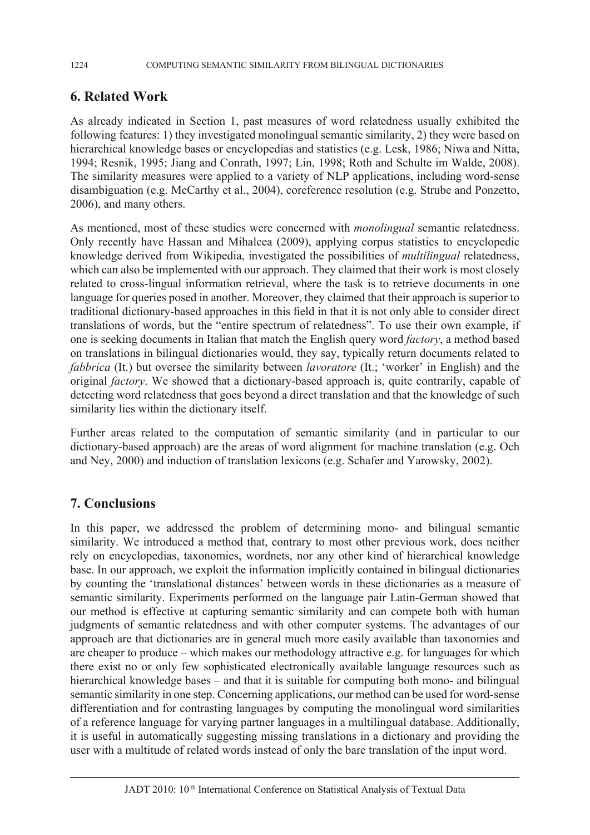## **6. Related Work**

As already indicated in Section 1, past measures of word relatedness usually exhibited the following features: 1) they investigated monolingual semantic similarity, 2) they were based on hierarchical knowledge bases or encyclopedias and statistics (e.g. Lesk, 1986; Niwa and Nitta, 1994; Resnik, 1995; Jiang and Conrath, 1997; Lin, 1998; Roth and Schulte im Walde, 2008). The similarity measures were applied to a variety of NLP applications, including word-sense disambiguation (e.g. McCarthy et al., 2004), coreference resolution (e.g. Strube and Ponzetto, 2006), and many others.

As mentioned, most of these studies were concerned with *monolingual* semantic relatedness. Only recently have Hassan and Mihalcea (2009), applying corpus statistics to encyclopedic knowledge derived from Wikipedia, investigated the possibilities of *multilingual* relatedness, which can also be implemented with our approach. They claimed that their work is most closely related to cross-lingual information retrieval, where the task is to retrieve documents in one language for queries posed in another. Moreover, they claimed that their approach is superior to traditional dictionary-based approaches in this field in that it is not only able to consider direct translations of words, but the "entire spectrum of relatedness". To use their own example, if one is seeking documents in Italian that match the English query word *factory*, a method based on translations in bilingual dictionaries would, they say, typically return documents related to *fabbrica* (It.) but oversee the similarity between *lavoratore* (It.; 'worker' in English) and the original *factory*. We showed that a dictionary-based approach is, quite contrarily, capable of detecting word relatedness that goes beyond a direct translation and that the knowledge of such similarity lies within the dictionary itself.

Further areas related to the computation of semantic similarity (and in particular to our dictionary-based approach) are the areas of word alignment for machine translation (e.g. Och and Ney, 2000) and induction of translation lexicons (e.g. Schafer and Yarowsky, 2002).

## **7. Conclusions**

In this paper, we addressed the problem of determining mono- and bilingual semantic similarity. We introduced a method that, contrary to most other previous work, does neither rely on encyclopedias, taxonomies, wordnets, nor any other kind of hierarchical knowledge base. In our approach, we exploit the information implicitly contained in bilingual dictionaries by counting the 'translational distances' between words in these dictionaries as a measure of semantic similarity. Experiments performed on the language pair Latin-German showed that our method is effective at capturing semantic similarity and can compete both with human judgments of semantic relatedness and with other computer systems. The advantages of our approach are that dictionaries are in general much more easily available than taxonomies and are cheaper to produce – which makes our methodology attractive e.g. for languages for which there exist no or only few sophisticated electronically available language resources such as hierarchical knowledge bases – and that it is suitable for computing both mono- and bilingual semantic similarity in one step. Concerning applications, our method can be used for word-sense differentiation and for contrasting languages by computing the monolingual word similarities of a reference language for varying partner languages in a multilingual database. Additionally, it is useful in automatically suggesting missing translations in a dictionary and providing the user with a multitude of related words instead of only the bare translation of the input word.